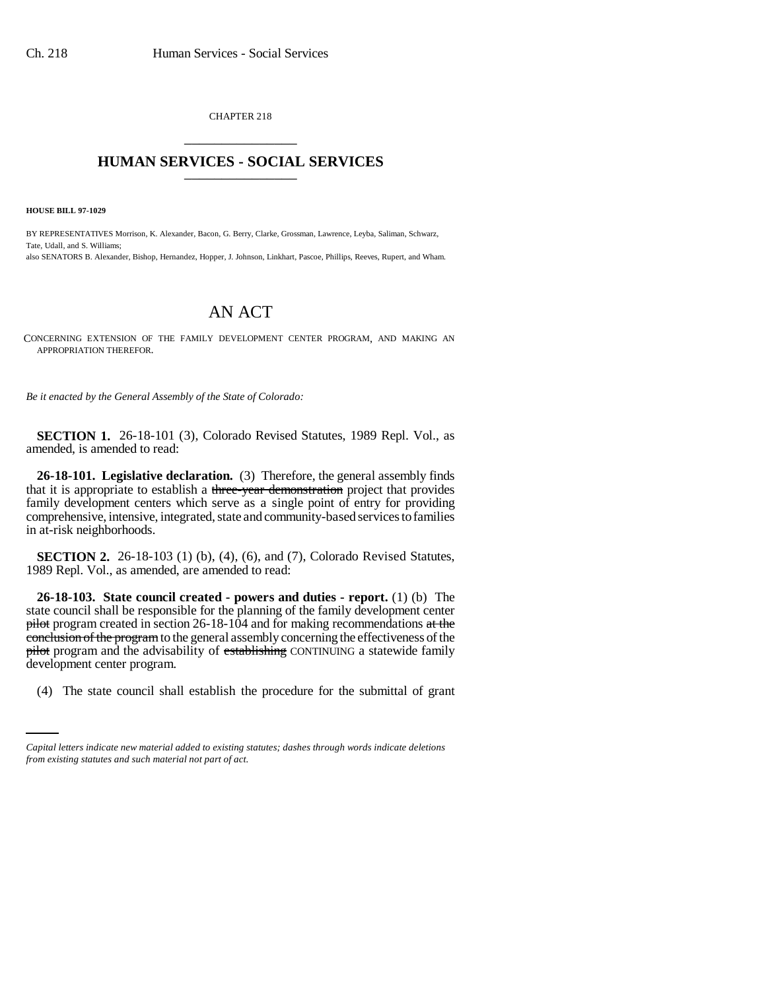CHAPTER 218 \_\_\_\_\_\_\_\_\_\_\_\_\_\_\_

## **HUMAN SERVICES - SOCIAL SERVICES** \_\_\_\_\_\_\_\_\_\_\_\_\_\_\_

**HOUSE BILL 97-1029**

BY REPRESENTATIVES Morrison, K. Alexander, Bacon, G. Berry, Clarke, Grossman, Lawrence, Leyba, Saliman, Schwarz, Tate, Udall, and S. Williams; also SENATORS B. Alexander, Bishop, Hernandez, Hopper, J. Johnson, Linkhart, Pascoe, Phillips, Reeves, Rupert, and Wham.

## AN ACT

CONCERNING EXTENSION OF THE FAMILY DEVELOPMENT CENTER PROGRAM, AND MAKING AN APPROPRIATION THEREFOR.

*Be it enacted by the General Assembly of the State of Colorado:*

**SECTION 1.** 26-18-101 (3), Colorado Revised Statutes, 1989 Repl. Vol., as amended, is amended to read:

**26-18-101. Legislative declaration.** (3) Therefore, the general assembly finds that it is appropriate to establish a three-year demonstration project that provides family development centers which serve as a single point of entry for providing comprehensive, intensive, integrated, state and community-based services to families in at-risk neighborhoods.

**SECTION 2.** 26-18-103 (1) (b), (4), (6), and (7), Colorado Revised Statutes, 1989 Repl. Vol., as amended, are amended to read:

development center program. **26-18-103. State council created - powers and duties - report.** (1) (b) The state council shall be responsible for the planning of the family development center  $pi$  pilot program created in section 26-18-104 and for making recommendations at the conclusion of the program to the general assembly concerning the effectiveness of the pilot program and the advisability of establishing CONTINUING a statewide family

(4) The state council shall establish the procedure for the submittal of grant

*Capital letters indicate new material added to existing statutes; dashes through words indicate deletions from existing statutes and such material not part of act.*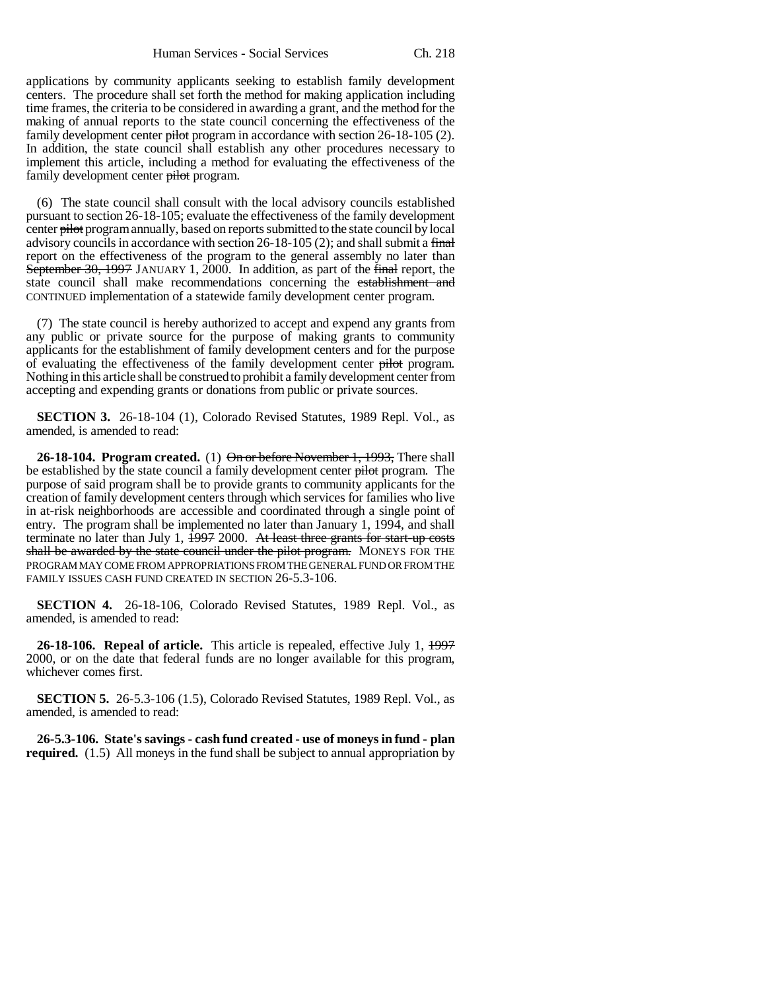applications by community applicants seeking to establish family development centers. The procedure shall set forth the method for making application including time frames, the criteria to be considered in awarding a grant, and the method for the making of annual reports to the state council concerning the effectiveness of the family development center pilot program in accordance with section 26-18-105 (2). In addition, the state council shall establish any other procedures necessary to implement this article, including a method for evaluating the effectiveness of the family development center pilot program.

(6) The state council shall consult with the local advisory councils established pursuant to section 26-18-105; evaluate the effectiveness of the family development center pilot program annually, based on reports submitted to the state council by local advisory councils in accordance with section 26-18-105 (2); and shall submit a final report on the effectiveness of the program to the general assembly no later than September 30, 1997 JANUARY 1, 2000. In addition, as part of the final report, the state council shall make recommendations concerning the establishment and CONTINUED implementation of a statewide family development center program.

(7) The state council is hereby authorized to accept and expend any grants from any public or private source for the purpose of making grants to community applicants for the establishment of family development centers and for the purpose of evaluating the effectiveness of the family development center pilot program. Nothing in this article shall be construed to prohibit a family development center from accepting and expending grants or donations from public or private sources.

**SECTION 3.** 26-18-104 (1), Colorado Revised Statutes, 1989 Repl. Vol., as amended, is amended to read:

**26-18-104. Program created.** (1) On or before November 1, 1993, There shall be established by the state council a family development center pilot program. The purpose of said program shall be to provide grants to community applicants for the creation of family development centers through which services for families who live in at-risk neighborhoods are accessible and coordinated through a single point of entry. The program shall be implemented no later than January 1, 1994, and shall terminate no later than July 1,  $\frac{1997}{2000}$ . At least three grants for start-up costs shall be awarded by the state council under the pilot program. MONEYS FOR THE PROGRAM MAY COME FROM APPROPRIATIONS FROM THE GENERAL FUND OR FROM THE FAMILY ISSUES CASH FUND CREATED IN SECTION 26-5.3-106.

**SECTION 4.** 26-18-106, Colorado Revised Statutes, 1989 Repl. Vol., as amended, is amended to read:

**26-18-106. Repeal of article.** This article is repealed, effective July 1, 1997 2000, or on the date that federal funds are no longer available for this program, whichever comes first.

**SECTION 5.** 26-5.3-106 (1.5), Colorado Revised Statutes, 1989 Repl. Vol., as amended, is amended to read:

**26-5.3-106. State's savings - cash fund created - use of moneys in fund - plan required.** (1.5) All moneys in the fund shall be subject to annual appropriation by